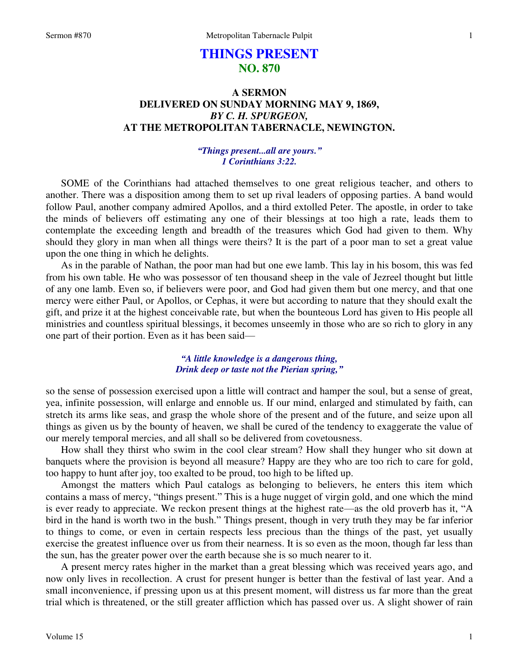# **THINGS PRESENT NO. 870**

## **A SERMON DELIVERED ON SUNDAY MORNING MAY 9, 1869,**  *BY C. H. SPURGEON,*  **AT THE METROPOLITAN TABERNACLE, NEWINGTON.**

## *"Things present...all are yours." 1 Corinthians 3:22.*

SOME of the Corinthians had attached themselves to one great religious teacher, and others to another. There was a disposition among them to set up rival leaders of opposing parties. A band would follow Paul, another company admired Apollos, and a third extolled Peter. The apostle, in order to take the minds of believers off estimating any one of their blessings at too high a rate, leads them to contemplate the exceeding length and breadth of the treasures which God had given to them. Why should they glory in man when all things were theirs? It is the part of a poor man to set a great value upon the one thing in which he delights.

 As in the parable of Nathan, the poor man had but one ewe lamb. This lay in his bosom, this was fed from his own table. He who was possessor of ten thousand sheep in the vale of Jezreel thought but little of any one lamb. Even so, if believers were poor, and God had given them but one mercy, and that one mercy were either Paul, or Apollos, or Cephas, it were but according to nature that they should exalt the gift, and prize it at the highest conceivable rate, but when the bounteous Lord has given to His people all ministries and countless spiritual blessings, it becomes unseemly in those who are so rich to glory in any one part of their portion. Even as it has been said—

## *"A little knowledge is a dangerous thing, Drink deep or taste not the Pierian spring,"*

so the sense of possession exercised upon a little will contract and hamper the soul, but a sense of great, yea, infinite possession, will enlarge and ennoble us. If our mind, enlarged and stimulated by faith, can stretch its arms like seas, and grasp the whole shore of the present and of the future, and seize upon all things as given us by the bounty of heaven, we shall be cured of the tendency to exaggerate the value of our merely temporal mercies, and all shall so be delivered from covetousness.

 How shall they thirst who swim in the cool clear stream? How shall they hunger who sit down at banquets where the provision is beyond all measure? Happy are they who are too rich to care for gold, too happy to hunt after joy, too exalted to be proud, too high to be lifted up.

 Amongst the matters which Paul catalogs as belonging to believers, he enters this item which contains a mass of mercy, "things present." This is a huge nugget of virgin gold, and one which the mind is ever ready to appreciate. We reckon present things at the highest rate—as the old proverb has it, "A bird in the hand is worth two in the bush." Things present, though in very truth they may be far inferior to things to come, or even in certain respects less precious than the things of the past, yet usually exercise the greatest influence over us from their nearness. It is so even as the moon, though far less than the sun, has the greater power over the earth because she is so much nearer to it.

A present mercy rates higher in the market than a great blessing which was received years ago, and now only lives in recollection. A crust for present hunger is better than the festival of last year. And a small inconvenience, if pressing upon us at this present moment, will distress us far more than the great trial which is threatened, or the still greater affliction which has passed over us. A slight shower of rain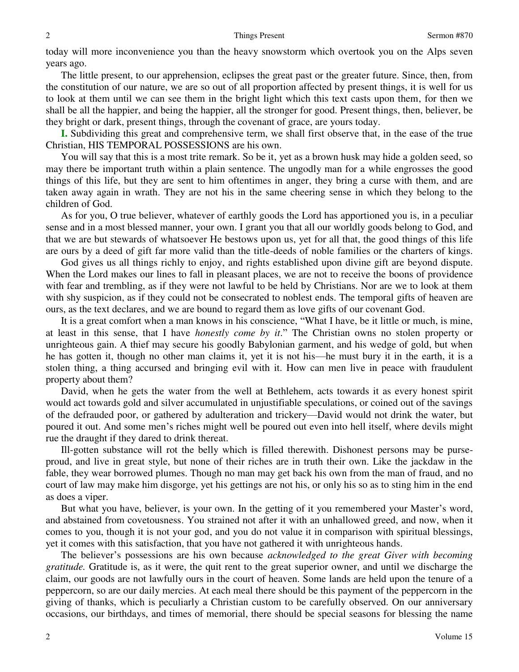today will more inconvenience you than the heavy snowstorm which overtook you on the Alps seven years ago.

 The little present, to our apprehension, eclipses the great past or the greater future. Since, then, from the constitution of our nature, we are so out of all proportion affected by present things, it is well for us to look at them until we can see them in the bright light which this text casts upon them, for then we shall be all the happier, and being the happier, all the stronger for good. Present things, then, believer, be they bright or dark, present things, through the covenant of grace, are yours today.

**I.** Subdividing this great and comprehensive term, we shall first observe that, in the ease of the true Christian, HIS TEMPORAL POSSESSIONS are his own.

 You will say that this is a most trite remark. So be it, yet as a brown husk may hide a golden seed, so may there be important truth within a plain sentence. The ungodly man for a while engrosses the good things of this life, but they are sent to him oftentimes in anger, they bring a curse with them, and are taken away again in wrath. They are not his in the same cheering sense in which they belong to the children of God.

 As for you, O true believer, whatever of earthly goods the Lord has apportioned you is, in a peculiar sense and in a most blessed manner, your own. I grant you that all our worldly goods belong to God, and that we are but stewards of whatsoever He bestows upon us, yet for all that, the good things of this life are ours by a deed of gift far more valid than the title-deeds of noble families or the charters of kings.

 God gives us all things richly to enjoy, and rights established upon divine gift are beyond dispute. When the Lord makes our lines to fall in pleasant places, we are not to receive the boons of providence with fear and trembling, as if they were not lawful to be held by Christians. Nor are we to look at them with shy suspicion, as if they could not be consecrated to noblest ends. The temporal gifts of heaven are ours, as the text declares, and we are bound to regard them as love gifts of our covenant God.

 It is a great comfort when a man knows in his conscience, "What I have, be it little or much, is mine, at least in this sense, that I have *honestly come by it*." The Christian owns no stolen property or unrighteous gain. A thief may secure his goodly Babylonian garment, and his wedge of gold, but when he has gotten it, though no other man claims it, yet it is not his—he must bury it in the earth, it is a stolen thing, a thing accursed and bringing evil with it. How can men live in peace with fraudulent property about them?

 David, when he gets the water from the well at Bethlehem, acts towards it as every honest spirit would act towards gold and silver accumulated in unjustifiable speculations, or coined out of the savings of the defrauded poor, or gathered by adulteration and trickery—David would not drink the water, but poured it out. And some men's riches might well be poured out even into hell itself, where devils might rue the draught if they dared to drink thereat.

 Ill-gotten substance will rot the belly which is filled therewith. Dishonest persons may be purseproud, and live in great style, but none of their riches are in truth their own. Like the jackdaw in the fable, they wear borrowed plumes. Though no man may get back his own from the man of fraud, and no court of law may make him disgorge, yet his gettings are not his, or only his so as to sting him in the end as does a viper.

 But what you have, believer, is your own. In the getting of it you remembered your Master's word, and abstained from covetousness. You strained not after it with an unhallowed greed, and now, when it comes to you, though it is not your god, and you do not value it in comparison with spiritual blessings, yet it comes with this satisfaction, that you have not gathered it with unrighteous hands.

 The believer's possessions are his own because *acknowledged to the great Giver with becoming gratitude.* Gratitude is, as it were, the quit rent to the great superior owner, and until we discharge the claim, our goods are not lawfully ours in the court of heaven. Some lands are held upon the tenure of a peppercorn, so are our daily mercies. At each meal there should be this payment of the peppercorn in the giving of thanks, which is peculiarly a Christian custom to be carefully observed. On our anniversary occasions, our birthdays, and times of memorial, there should be special seasons for blessing the name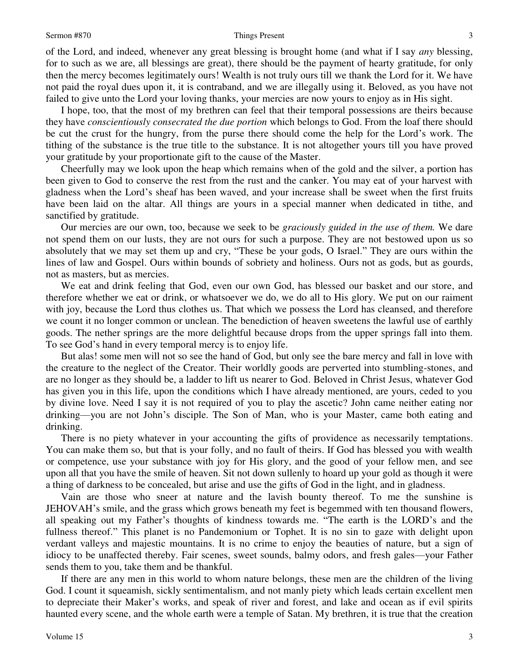of the Lord, and indeed, whenever any great blessing is brought home (and what if I say *any* blessing, for to such as we are, all blessings are great), there should be the payment of hearty gratitude, for only then the mercy becomes legitimately ours! Wealth is not truly ours till we thank the Lord for it. We have not paid the royal dues upon it, it is contraband, and we are illegally using it. Beloved, as you have not failed to give unto the Lord your loving thanks, your mercies are now yours to enjoy as in His sight.

 I hope, too, that the most of my brethren can feel that their temporal possessions are theirs because they have *conscientiously consecrated the due portion* which belongs to God. From the loaf there should be cut the crust for the hungry, from the purse there should come the help for the Lord's work. The tithing of the substance is the true title to the substance. It is not altogether yours till you have proved your gratitude by your proportionate gift to the cause of the Master.

 Cheerfully may we look upon the heap which remains when of the gold and the silver, a portion has been given to God to conserve the rest from the rust and the canker. You may eat of your harvest with gladness when the Lord's sheaf has been waved, and your increase shall be sweet when the first fruits have been laid on the altar. All things are yours in a special manner when dedicated in tithe, and sanctified by gratitude.

 Our mercies are our own, too, because we seek to be *graciously guided in the use of them.* We dare not spend them on our lusts, they are not ours for such a purpose. They are not bestowed upon us so absolutely that we may set them up and cry, "These be your gods, O Israel." They are ours within the lines of law and Gospel. Ours within bounds of sobriety and holiness. Ours not as gods, but as gourds, not as masters, but as mercies.

 We eat and drink feeling that God, even our own God, has blessed our basket and our store, and therefore whether we eat or drink, or whatsoever we do, we do all to His glory. We put on our raiment with joy, because the Lord thus clothes us. That which we possess the Lord has cleansed, and therefore we count it no longer common or unclean. The benediction of heaven sweetens the lawful use of earthly goods. The nether springs are the more delightful because drops from the upper springs fall into them. To see God's hand in every temporal mercy is to enjoy life.

 But alas! some men will not so see the hand of God, but only see the bare mercy and fall in love with the creature to the neglect of the Creator. Their worldly goods are perverted into stumbling-stones, and are no longer as they should be, a ladder to lift us nearer to God. Beloved in Christ Jesus, whatever God has given you in this life, upon the conditions which I have already mentioned, are yours, ceded to you by divine love. Need I say it is not required of you to play the ascetic? John came neither eating nor drinking—you are not John's disciple. The Son of Man, who is your Master, came both eating and drinking.

 There is no piety whatever in your accounting the gifts of providence as necessarily temptations. You can make them so, but that is your folly, and no fault of theirs. If God has blessed you with wealth or competence, use your substance with joy for His glory, and the good of your fellow men, and see upon all that you have the smile of heaven. Sit not down sullenly to hoard up your gold as though it were a thing of darkness to be concealed, but arise and use the gifts of God in the light, and in gladness.

 Vain are those who sneer at nature and the lavish bounty thereof. To me the sunshine is JEHOVAH's smile, and the grass which grows beneath my feet is begemmed with ten thousand flowers, all speaking out my Father's thoughts of kindness towards me. "The earth is the LORD's and the fullness thereof." This planet is no Pandemonium or Tophet. It is no sin to gaze with delight upon verdant valleys and majestic mountains. It is no crime to enjoy the beauties of nature, but a sign of idiocy to be unaffected thereby. Fair scenes, sweet sounds, balmy odors, and fresh gales—your Father sends them to you, take them and be thankful.

 If there are any men in this world to whom nature belongs, these men are the children of the living God. I count it squeamish, sickly sentimentalism, and not manly piety which leads certain excellent men to depreciate their Maker's works, and speak of river and forest, and lake and ocean as if evil spirits haunted every scene, and the whole earth were a temple of Satan. My brethren, it is true that the creation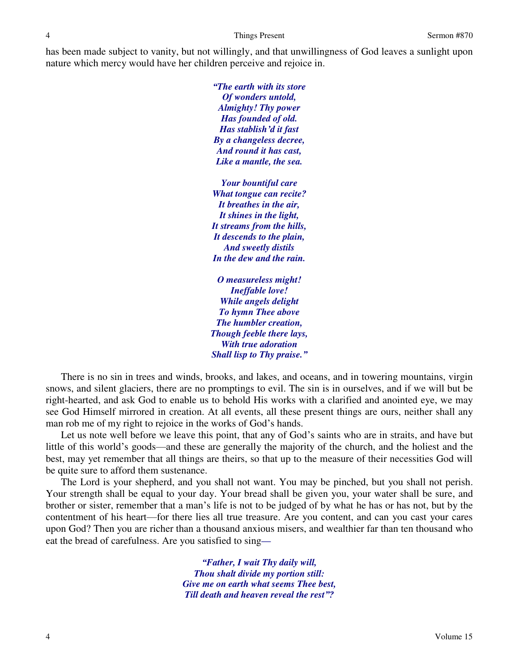has been made subject to vanity, but not willingly, and that unwillingness of God leaves a sunlight upon nature which mercy would have her children perceive and rejoice in.

> *"The earth with its store Of wonders untold, Almighty! Thy power Has founded of old. Has stablish'd it fast By a changeless decree, And round it has cast, Like a mantle, the sea.*

*Your bountiful care What tongue can recite? It breathes in the air, It shines in the light, It streams from the hills, It descends to the plain, And sweetly distils In the dew and the rain.* 

*O measureless might! Ineffable love! While angels delight To hymn Thee above The humbler creation, Though feeble there lays, With true adoration Shall lisp to Thy praise."*

 There is no sin in trees and winds, brooks, and lakes, and oceans, and in towering mountains, virgin snows, and silent glaciers, there are no promptings to evil. The sin is in ourselves, and if we will but be right-hearted, and ask God to enable us to behold His works with a clarified and anointed eye, we may see God Himself mirrored in creation. At all events, all these present things are ours, neither shall any man rob me of my right to rejoice in the works of God's hands.

 Let us note well before we leave this point, that any of God's saints who are in straits, and have but little of this world's goods—and these are generally the majority of the church, and the holiest and the best, may yet remember that all things are theirs, so that up to the measure of their necessities God will be quite sure to afford them sustenance.

 The Lord is your shepherd, and you shall not want. You may be pinched, but you shall not perish. Your strength shall be equal to your day. Your bread shall be given you, your water shall be sure, and brother or sister, remember that a man's life is not to be judged of by what he has or has not, but by the contentment of his heart—for there lies all true treasure. Are you content, and can you cast your cares upon God? Then you are richer than a thousand anxious misers, and wealthier far than ten thousand who eat the bread of carefulness. Are you satisfied to sing*—*

> *"Father, I wait Thy daily will, Thou shalt divide my portion still: Give me on earth what seems Thee best, Till death and heaven reveal the rest"?*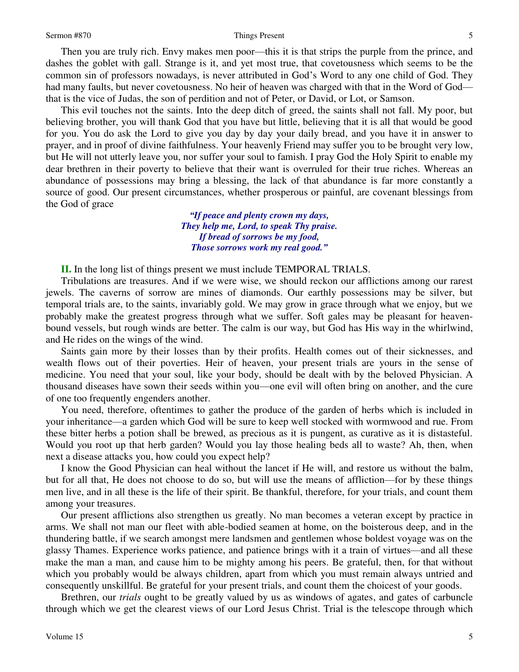Then you are truly rich. Envy makes men poor—this it is that strips the purple from the prince, and dashes the goblet with gall. Strange is it, and yet most true, that covetousness which seems to be the common sin of professors nowadays, is never attributed in God's Word to any one child of God. They had many faults, but never covetousness. No heir of heaven was charged with that in the Word of God that is the vice of Judas, the son of perdition and not of Peter, or David, or Lot, or Samson.

 This evil touches not the saints. Into the deep ditch of greed, the saints shall not fall. My poor, but believing brother, you will thank God that you have but little, believing that it is all that would be good for you. You do ask the Lord to give you day by day your daily bread, and you have it in answer to prayer, and in proof of divine faithfulness. Your heavenly Friend may suffer you to be brought very low, but He will not utterly leave you, nor suffer your soul to famish. I pray God the Holy Spirit to enable my dear brethren in their poverty to believe that their want is overruled for their true riches. Whereas an abundance of possessions may bring a blessing, the lack of that abundance is far more constantly a source of good. Our present circumstances, whether prosperous or painful, are covenant blessings from the God of grace

> *"If peace and plenty crown my days, They help me, Lord, to speak Thy praise. If bread of sorrows be my food, Those sorrows work my real good."*

**II.** In the long list of things present we must include TEMPORAL TRIALS.

 Tribulations are treasures. And if we were wise, we should reckon our afflictions among our rarest jewels. The caverns of sorrow are mines of diamonds. Our earthly possessions may be silver, but temporal trials are, to the saints, invariably gold. We may grow in grace through what we enjoy, but we probably make the greatest progress through what we suffer. Soft gales may be pleasant for heavenbound vessels, but rough winds are better. The calm is our way, but God has His way in the whirlwind, and He rides on the wings of the wind.

 Saints gain more by their losses than by their profits. Health comes out of their sicknesses, and wealth flows out of their poverties. Heir of heaven, your present trials are yours in the sense of medicine. You need that your soul, like your body, should be dealt with by the beloved Physician. A thousand diseases have sown their seeds within you—one evil will often bring on another, and the cure of one too frequently engenders another.

 You need, therefore, oftentimes to gather the produce of the garden of herbs which is included in your inheritance—a garden which God will be sure to keep well stocked with wormwood and rue. From these bitter herbs a potion shall be brewed, as precious as it is pungent, as curative as it is distasteful. Would you root up that herb garden? Would you lay those healing beds all to waste? Ah, then, when next a disease attacks you, how could you expect help?

 I know the Good Physician can heal without the lancet if He will, and restore us without the balm, but for all that, He does not choose to do so, but will use the means of affliction—for by these things men live, and in all these is the life of their spirit. Be thankful, therefore, for your trials, and count them among your treasures.

 Our present afflictions also strengthen us greatly. No man becomes a veteran except by practice in arms. We shall not man our fleet with able-bodied seamen at home, on the boisterous deep, and in the thundering battle, if we search amongst mere landsmen and gentlemen whose boldest voyage was on the glassy Thames. Experience works patience, and patience brings with it a train of virtues—and all these make the man a man, and cause him to be mighty among his peers. Be grateful, then, for that without which you probably would be always children, apart from which you must remain always untried and consequently unskillful. Be grateful for your present trials, and count them the choicest of your goods.

 Brethren, our *trials* ought to be greatly valued by us as windows of agates, and gates of carbuncle through which we get the clearest views of our Lord Jesus Christ. Trial is the telescope through which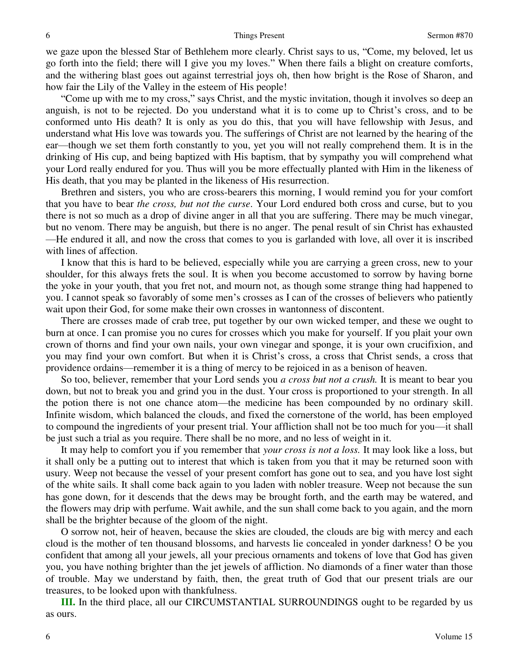we gaze upon the blessed Star of Bethlehem more clearly. Christ says to us, "Come, my beloved, let us go forth into the field; there will I give you my loves." When there fails a blight on creature comforts, and the withering blast goes out against terrestrial joys oh, then how bright is the Rose of Sharon, and how fair the Lily of the Valley in the esteem of His people!

"Come up with me to my cross," says Christ, and the mystic invitation, though it involves so deep an anguish, is not to be rejected. Do you understand what it is to come up to Christ's cross, and to be conformed unto His death? It is only as you do this, that you will have fellowship with Jesus, and understand what His love was towards you. The sufferings of Christ are not learned by the hearing of the ear—though we set them forth constantly to you, yet you will not really comprehend them. It is in the drinking of His cup, and being baptized with His baptism, that by sympathy you will comprehend what your Lord really endured for you. Thus will you be more effectually planted with Him in the likeness of His death, that you may be planted in the likeness of His resurrection.

 Brethren and sisters, you who are cross-bearers this morning, I would remind you for your comfort that you have to bear *the cross, but not the curse*. Your Lord endured both cross and curse, but to you there is not so much as a drop of divine anger in all that you are suffering. There may be much vinegar, but no venom. There may be anguish, but there is no anger. The penal result of sin Christ has exhausted —He endured it all, and now the cross that comes to you is garlanded with love, all over it is inscribed with lines of affection.

 I know that this is hard to be believed, especially while you are carrying a green cross, new to your shoulder, for this always frets the soul. It is when you become accustomed to sorrow by having borne the yoke in your youth, that you fret not, and mourn not, as though some strange thing had happened to you. I cannot speak so favorably of some men's crosses as I can of the crosses of believers who patiently wait upon their God, for some make their own crosses in wantonness of discontent.

 There are crosses made of crab tree, put together by our own wicked temper, and these we ought to burn at once. I can promise you no cures for crosses which you make for yourself. If you plait your own crown of thorns and find your own nails, your own vinegar and sponge, it is your own crucifixion, and you may find your own comfort. But when it is Christ's cross, a cross that Christ sends, a cross that providence ordains—remember it is a thing of mercy to be rejoiced in as a benison of heaven.

 So too, believer, remember that your Lord sends you *a cross but not a crush.* It is meant to bear you down, but not to break you and grind you in the dust. Your cross is proportioned to your strength. In all the potion there is not one chance atom—the medicine has been compounded by no ordinary skill. Infinite wisdom, which balanced the clouds, and fixed the cornerstone of the world, has been employed to compound the ingredients of your present trial. Your affliction shall not be too much for you—it shall be just such a trial as you require. There shall be no more, and no less of weight in it.

 It may help to comfort you if you remember that *your cross is not a loss.* It may look like a loss, but it shall only be a putting out to interest that which is taken from you that it may be returned soon with usury. Weep not because the vessel of your present comfort has gone out to sea, and you have lost sight of the white sails. It shall come back again to you laden with nobler treasure. Weep not because the sun has gone down, for it descends that the dews may be brought forth, and the earth may be watered, and the flowers may drip with perfume. Wait awhile, and the sun shall come back to you again, and the morn shall be the brighter because of the gloom of the night.

 O sorrow not, heir of heaven, because the skies are clouded, the clouds are big with mercy and each cloud is the mother of ten thousand blossoms, and harvests lie concealed in yonder darkness! O be you confident that among all your jewels, all your precious ornaments and tokens of love that God has given you, you have nothing brighter than the jet jewels of affliction. No diamonds of a finer water than those of trouble. May we understand by faith, then, the great truth of God that our present trials are our treasures, to be looked upon with thankfulness.

**III.** In the third place, all our CIRCUMSTANTIAL SURROUNDINGS ought to be regarded by us as ours.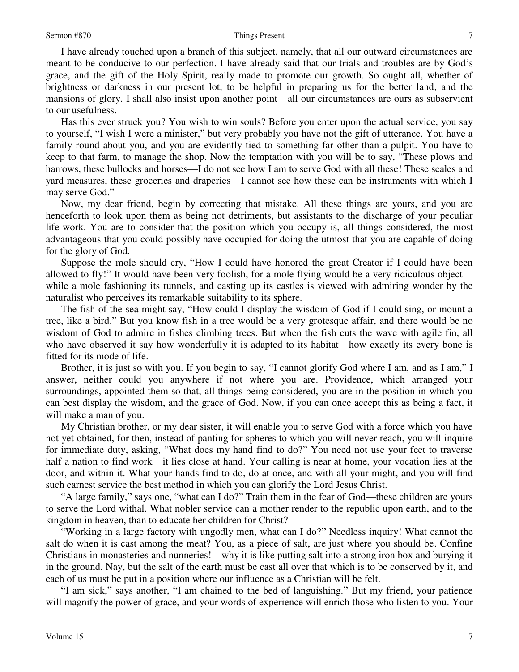I have already touched upon a branch of this subject, namely, that all our outward circumstances are meant to be conducive to our perfection. I have already said that our trials and troubles are by God's grace, and the gift of the Holy Spirit, really made to promote our growth. So ought all, whether of brightness or darkness in our present lot, to be helpful in preparing us for the better land, and the mansions of glory. I shall also insist upon another point—all our circumstances are ours as subservient to our usefulness.

 Has this ever struck you? You wish to win souls? Before you enter upon the actual service, you say to yourself, "I wish I were a minister," but very probably you have not the gift of utterance. You have a family round about you, and you are evidently tied to something far other than a pulpit. You have to keep to that farm, to manage the shop. Now the temptation with you will be to say, "These plows and harrows, these bullocks and horses—I do not see how I am to serve God with all these! These scales and yard measures, these groceries and draperies—I cannot see how these can be instruments with which I may serve God."

 Now, my dear friend, begin by correcting that mistake. All these things are yours, and you are henceforth to look upon them as being not detriments, but assistants to the discharge of your peculiar life-work. You are to consider that the position which you occupy is, all things considered, the most advantageous that you could possibly have occupied for doing the utmost that you are capable of doing for the glory of God.

 Suppose the mole should cry, "How I could have honored the great Creator if I could have been allowed to fly!" It would have been very foolish, for a mole flying would be a very ridiculous object while a mole fashioning its tunnels, and casting up its castles is viewed with admiring wonder by the naturalist who perceives its remarkable suitability to its sphere.

 The fish of the sea might say, "How could I display the wisdom of God if I could sing, or mount a tree, like a bird." But you know fish in a tree would be a very grotesque affair, and there would be no wisdom of God to admire in fishes climbing trees. But when the fish cuts the wave with agile fin, all who have observed it say how wonderfully it is adapted to its habitat—how exactly its every bone is fitted for its mode of life.

 Brother, it is just so with you. If you begin to say, "I cannot glorify God where I am, and as I am," I answer, neither could you anywhere if not where you are. Providence, which arranged your surroundings, appointed them so that, all things being considered, you are in the position in which you can best display the wisdom, and the grace of God. Now, if you can once accept this as being a fact, it will make a man of you.

 My Christian brother, or my dear sister, it will enable you to serve God with a force which you have not yet obtained, for then, instead of panting for spheres to which you will never reach, you will inquire for immediate duty, asking, "What does my hand find to do?" You need not use your feet to traverse half a nation to find work—it lies close at hand. Your calling is near at home, your vocation lies at the door, and within it. What your hands find to do, do at once, and with all your might, and you will find such earnest service the best method in which you can glorify the Lord Jesus Christ.

"A large family," says one, "what can I do?" Train them in the fear of God—these children are yours to serve the Lord withal. What nobler service can a mother render to the republic upon earth, and to the kingdom in heaven, than to educate her children for Christ?

"Working in a large factory with ungodly men, what can I do?" Needless inquiry! What cannot the salt do when it is cast among the meat? You, as a piece of salt, are just where you should be. Confine Christians in monasteries and nunneries!—why it is like putting salt into a strong iron box and burying it in the ground. Nay, but the salt of the earth must be cast all over that which is to be conserved by it, and each of us must be put in a position where our influence as a Christian will be felt.

"I am sick," says another, "I am chained to the bed of languishing." But my friend, your patience will magnify the power of grace, and your words of experience will enrich those who listen to you. Your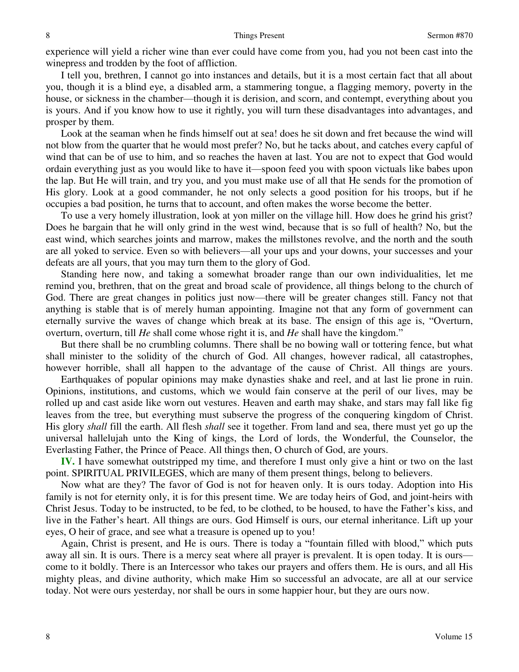experience will yield a richer wine than ever could have come from you, had you not been cast into the winepress and trodden by the foot of affliction.

 I tell you, brethren, I cannot go into instances and details, but it is a most certain fact that all about you, though it is a blind eye, a disabled arm, a stammering tongue, a flagging memory, poverty in the house, or sickness in the chamber—though it is derision, and scorn, and contempt, everything about you is yours. And if you know how to use it rightly, you will turn these disadvantages into advantages, and prosper by them.

 Look at the seaman when he finds himself out at sea! does he sit down and fret because the wind will not blow from the quarter that he would most prefer? No, but he tacks about, and catches every capful of wind that can be of use to him, and so reaches the haven at last. You are not to expect that God would ordain everything just as you would like to have it—spoon feed you with spoon victuals like babes upon the lap. But He will train, and try you, and you must make use of all that He sends for the promotion of His glory. Look at a good commander, he not only selects a good position for his troops, but if he occupies a bad position, he turns that to account, and often makes the worse become the better.

 To use a very homely illustration, look at yon miller on the village hill. How does he grind his grist? Does he bargain that he will only grind in the west wind, because that is so full of health? No, but the east wind, which searches joints and marrow, makes the millstones revolve, and the north and the south are all yoked to service. Even so with believers—all your ups and your downs, your successes and your defeats are all yours, that you may turn them to the glory of God.

 Standing here now, and taking a somewhat broader range than our own individualities, let me remind you, brethren, that on the great and broad scale of providence, all things belong to the church of God. There are great changes in politics just now—there will be greater changes still. Fancy not that anything is stable that is of merely human appointing. Imagine not that any form of government can eternally survive the waves of change which break at its base. The ensign of this age is, "Overturn, overturn, overturn, till *He* shall come whose right it is, and *He* shall have the kingdom."

 But there shall be no crumbling columns. There shall be no bowing wall or tottering fence, but what shall minister to the solidity of the church of God. All changes, however radical, all catastrophes, however horrible, shall all happen to the advantage of the cause of Christ. All things are yours.

 Earthquakes of popular opinions may make dynasties shake and reel, and at last lie prone in ruin. Opinions, institutions, and customs, which we would fain conserve at the peril of our lives, may be rolled up and cast aside like worn out vestures. Heaven and earth may shake, and stars may fall like fig leaves from the tree, but everything must subserve the progress of the conquering kingdom of Christ. His glory *shall* fill the earth. All flesh *shall* see it together. From land and sea, there must yet go up the universal hallelujah unto the King of kings, the Lord of lords, the Wonderful, the Counselor, the Everlasting Father, the Prince of Peace. All things then, O church of God, are yours.

**IV.** I have somewhat outstripped my time, and therefore I must only give a hint or two on the last point. SPIRITUAL PRIVILEGES, which are many of them present things, belong to believers.

 Now what are they? The favor of God is not for heaven only. It is ours today. Adoption into His family is not for eternity only, it is for this present time. We are today heirs of God, and joint-heirs with Christ Jesus. Today to be instructed, to be fed, to be clothed, to be housed, to have the Father's kiss, and live in the Father's heart. All things are ours. God Himself is ours, our eternal inheritance. Lift up your eyes, O heir of grace, and see what a treasure is opened up to you!

 Again, Christ is present, and He is ours. There is today a "fountain filled with blood," which puts away all sin. It is ours. There is a mercy seat where all prayer is prevalent. It is open today. It is ours come to it boldly. There is an Intercessor who takes our prayers and offers them. He is ours, and all His mighty pleas, and divine authority, which make Him so successful an advocate, are all at our service today. Not were ours yesterday, nor shall be ours in some happier hour, but they are ours now.